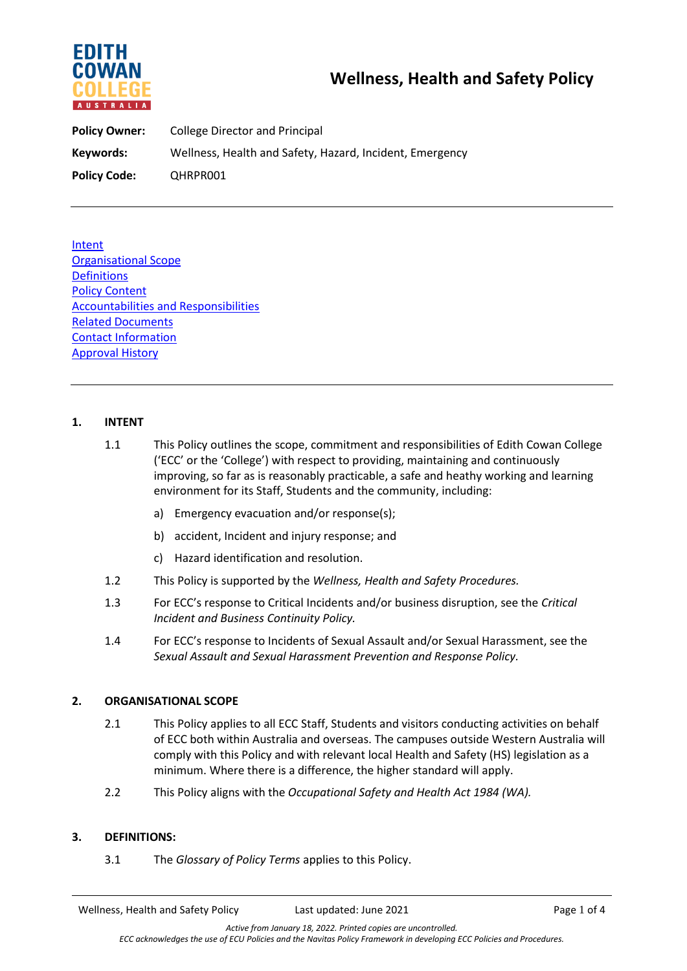

**Policy Owner:** College Director and Principal **Keywords:** Wellness, Health and Safety, Hazard, Incident, Emergency **Policy Code:** QHRPR001

Intent Organisational Scope **Definitions** Policy Content Accountabilities and Responsibilities Related Documents Contact Information Approval History

### **1. INTENT**

- 1.1 This Policy outlines the scope, commitment and responsibilities of Edith Cowan College ('ECC' or the 'College') with respect to providing, maintaining and continuously improving, so far as is reasonably practicable, a safe and heathy working and learning environment for its Staff, Students and the community, including:
	- a) Emergency evacuation and/or response(s);
	- b) accident, Incident and injury response; and
	- c) Hazard identification and resolution.
- 1.2 This Policy is supported by the *Wellness, Health and Safety Procedures.*
- 1.3 For ECC's response to Critical Incidents and/or business disruption, see the *Critical Incident and Business Continuity Policy.*
- 1.4 For ECC's response to Incidents of Sexual Assault and/or Sexual Harassment, see the *Sexual Assault and Sexual Harassment Prevention and Response Policy.*

#### **2. ORGANISATIONAL SCOPE**

- 2.1 This Policy applies to all ECC Staff, Students and visitors conducting activities on behalf of ECC both within Australia and overseas. The campuses outside Western Australia will comply with this Policy and with relevant local Health and Safety (HS) legislation as a minimum. Where there is a difference, the higher standard will apply.
- 2.2 This Policy aligns with the *Occupational Safety and Health Act 1984 (WA).*

#### **3. DEFINITIONS:**

3.1 The *Glossary of Policy Terms* applies to this Policy.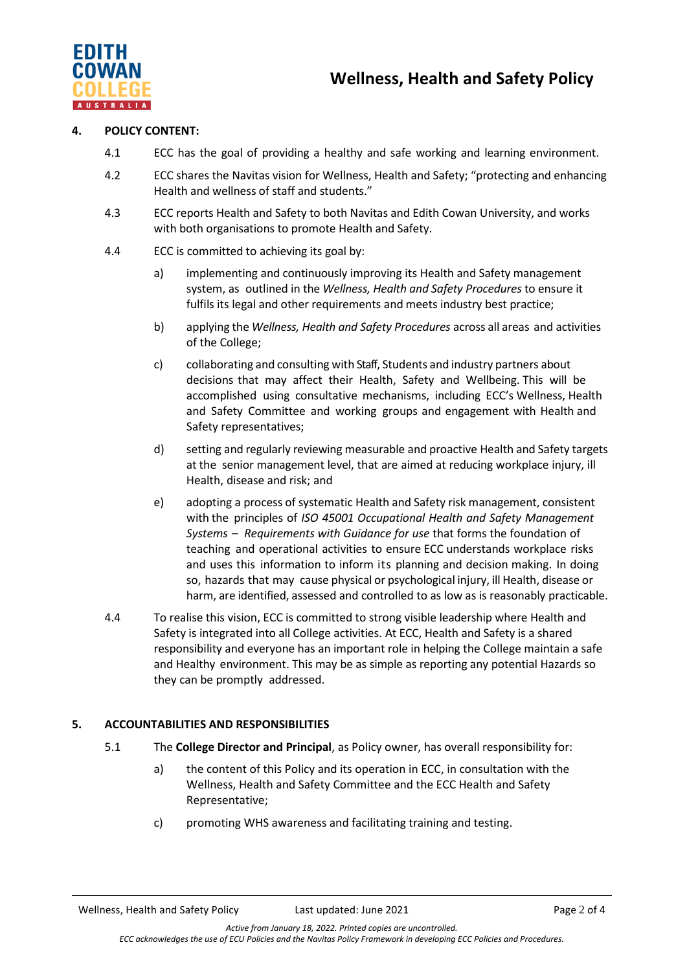

#### **4. POLICY CONTENT:**

- 4.1 ECC has the goal of providing a healthy and safe working and learning environment.
- 4.2 ECC shares the Navitas vision for Wellness, Health and Safety; "protecting and enhancing Health and wellness of staff and students."
- 4.3 ECC reports Health and Safety to both Navitas and Edith Cowan University, and works with both organisations to promote Health and Safety.
- 4.4 ECC is committed to achieving its goal by:
	- a) implementing and continuously improving its Health and Safety management system, as outlined in the *Wellness, Health and Safety Procedures* to ensure it fulfils its legal and other requirements and meets industry best practice;
	- b) applying the *Wellness, Health and Safety Procedures* across all areas and activities of the College;
	- c) collaborating and consulting with Staff, Students and industry partners about decisions that may affect their Health, Safety and Wellbeing. This will be accomplished using consultative mechanisms, including ECC's Wellness, Health and Safety Committee and working groups and engagement with Health and Safety representatives;
	- d) setting and regularly reviewing measurable and proactive Health and Safety targets at the senior management level, that are aimed at reducing workplace injury, ill Health, disease and risk; and
	- e) adopting a process of systematic Health and Safety risk management, consistent with the principles of *ISO 45001 Occupational Health and Safety Management Systems – Requirements with Guidance for use* that forms the foundation of teaching and operational activities to ensure ECC understands workplace risks and uses this information to inform its planning and decision making. In doing so, hazards that may cause physical or psychological injury, ill Health, disease or harm, are identified, assessed and controlled to as low as is reasonably practicable.
- 4.4 To realise this vision, ECC is committed to strong visible leadership where Health and Safety is integrated into all College activities. At ECC, Health and Safety is a shared responsibility and everyone has an important role in helping the College maintain a safe and Healthy environment. This may be as simple as reporting any potential Hazards so they can be promptly addressed.

# **5. ACCOUNTABILITIES AND RESPONSIBILITIES**

- 5.1 The **College Director and Principal**, as Policy owner, has overall responsibility for:
	- a) the content of this Policy and its operation in ECC, in consultation with the Wellness, Health and Safety Committee and the ECC Health and Safety Representative;
	- c) promoting WHS awareness and facilitating training and testing.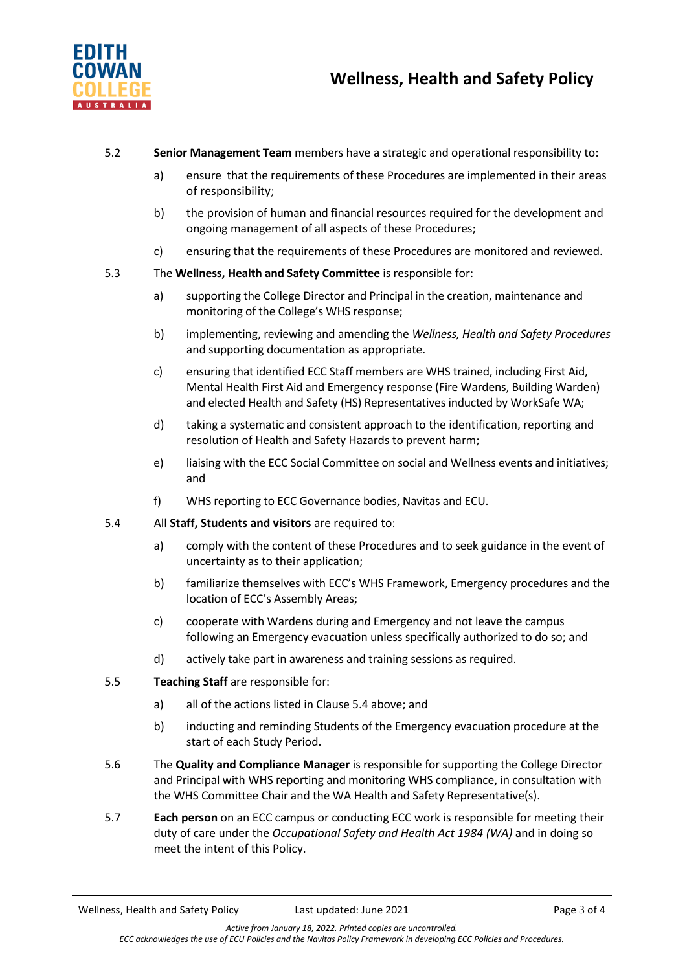

# 5.2 **Senior Management Team** members have a strategic and operational responsibility to:

- a) ensure that the requirements of these Procedures are implemented in their areas of responsibility;
- b) the provision of human and financial resources required for the development and ongoing management of all aspects of these Procedures;
- c) ensuring that the requirements of these Procedures are monitored and reviewed.
- 5.3 The **Wellness, Health and Safety Committee** is responsible for:
	- a) supporting the College Director and Principal in the creation, maintenance and monitoring of the College's WHS response;
	- b) implementing, reviewing and amending the *Wellness, Health and Safety Procedures* and supporting documentation as appropriate.
	- c) ensuring that identified ECC Staff members are WHS trained, including First Aid, Mental Health First Aid and Emergency response (Fire Wardens, Building Warden) and elected Health and Safety (HS) Representatives inducted by WorkSafe WA;
	- d) taking a systematic and consistent approach to the identification, reporting and resolution of Health and Safety Hazards to prevent harm;
	- e) liaising with the ECC Social Committee on social and Wellness events and initiatives; and
	- f) WHS reporting to ECC Governance bodies, Navitas and ECU.
- 5.4 All **Staff, Students and visitors** are required to:
	- a) comply with the content of these Procedures and to seek guidance in the event of uncertainty as to their application;
	- b) familiarize themselves with ECC's WHS Framework, Emergency procedures and the location of ECC's Assembly Areas;
	- c) cooperate with Wardens during and Emergency and not leave the campus following an Emergency evacuation unless specifically authorized to do so; and
	- d) actively take part in awareness and training sessions as required.
- 5.5 **Teaching Staff** are responsible for:
	- a) all of the actions listed in Clause 5.4 above; and
	- b) inducting and reminding Students of the Emergency evacuation procedure at the start of each Study Period.
- 5.6 The **Quality and Compliance Manager** is responsible for supporting the College Director and Principal with WHS reporting and monitoring WHS compliance, in consultation with the WHS Committee Chair and the WA Health and Safety Representative(s).
- 5.7 **Each person** on an ECC campus or conducting ECC work is responsible for meeting their duty of care under the *Occupational Safety and Health Act 1984 (WA)* and in doing so meet the intent of this Policy.